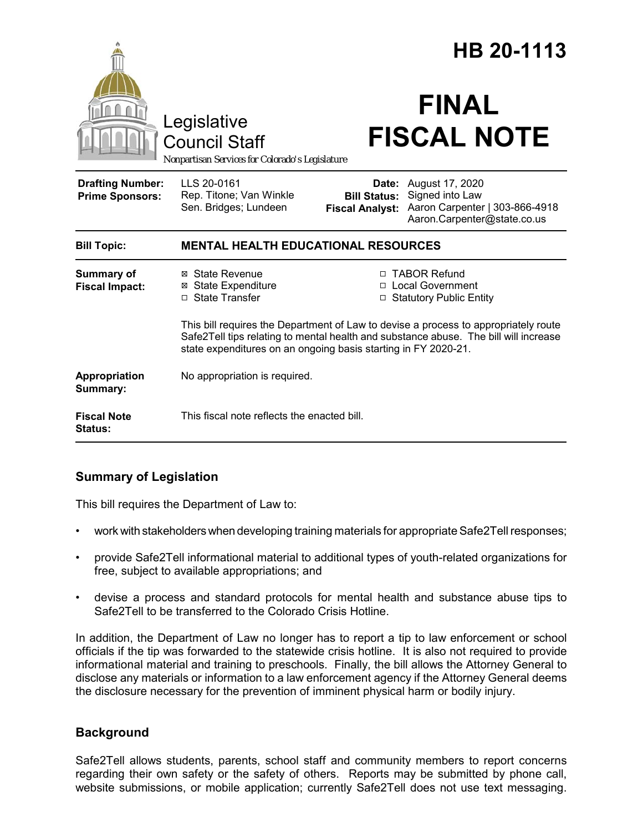|                                                                                 |                                                                                                                                                                                                                                               |                                               | HB 20-1113                                                                                                       |
|---------------------------------------------------------------------------------|-----------------------------------------------------------------------------------------------------------------------------------------------------------------------------------------------------------------------------------------------|-----------------------------------------------|------------------------------------------------------------------------------------------------------------------|
| Legislative<br>Council Staff<br>Nonpartisan Services for Colorado's Legislature |                                                                                                                                                                                                                                               | <b>FINAL</b><br><b>FISCAL NOTE</b>            |                                                                                                                  |
| <b>Drafting Number:</b><br><b>Prime Sponsors:</b>                               | LLS 20-0161<br>Rep. Titone; Van Winkle<br>Sen. Bridges; Lundeen                                                                                                                                                                               | <b>Bill Status:</b><br><b>Fiscal Analyst:</b> | <b>Date:</b> August 17, 2020<br>Signed into Law<br>Aaron Carpenter   303-866-4918<br>Aaron.Carpenter@state.co.us |
| <b>Bill Topic:</b>                                                              | <b>MENTAL HEALTH EDUCATIONAL RESOURCES</b>                                                                                                                                                                                                    |                                               |                                                                                                                  |
| <b>Summary of</b><br><b>Fiscal Impact:</b>                                      | ⊠ State Revenue<br><b>State Expenditure</b><br>⊠<br><b>State Transfer</b><br>п                                                                                                                                                                | □                                             | □ TABOR Refund<br>□ Local Government<br><b>Statutory Public Entity</b>                                           |
|                                                                                 | This bill requires the Department of Law to devise a process to appropriately route<br>Safe2Tell tips relating to mental health and substance abuse. The bill will increase<br>state expenditures on an ongoing basis starting in FY 2020-21. |                                               |                                                                                                                  |
| Appropriation<br>Summary:                                                       | No appropriation is required.                                                                                                                                                                                                                 |                                               |                                                                                                                  |
| <b>Fiscal Note</b><br><b>Status:</b>                                            | This fiscal note reflects the enacted bill.                                                                                                                                                                                                   |                                               |                                                                                                                  |

# **Summary of Legislation**

This bill requires the Department of Law to:

- work with stakeholders when developing training materials for appropriate Safe2Tell responses;
- provide Safe2Tell informational material to additional types of youth-related organizations for free, subject to available appropriations; and
- devise a process and standard protocols for mental health and substance abuse tips to Safe2Tell to be transferred to the Colorado Crisis Hotline.

In addition, the Department of Law no longer has to report a tip to law enforcement or school officials if the tip was forwarded to the statewide crisis hotline. It is also not required to provide informational material and training to preschools. Finally, the bill allows the Attorney General to disclose any materials or information to a law enforcement agency if the Attorney General deems the disclosure necessary for the prevention of imminent physical harm or bodily injury.

# **Background**

Safe2Tell allows students, parents, school staff and community members to report concerns regarding their own safety or the safety of others. Reports may be submitted by phone call, website submissions, or mobile application; currently Safe2Tell does not use text messaging.